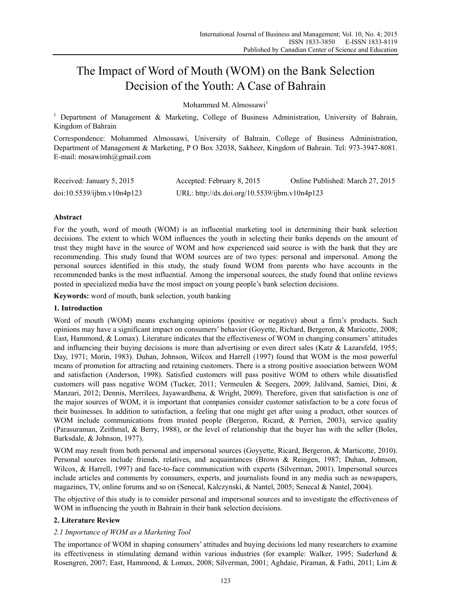# The Impact of Word of Mouth (WOM) on the Bank Selection Decision of the Youth: A Case of Bahrain

Mohammed M. Almossawi<sup>1</sup>

<sup>1</sup> Department of Management & Marketing, College of Business Administration, University of Bahrain, Kingdom of Bahrain

Correspondence: Mohammed Almossawi, University of Bahrain, College of Business Administration, Department of Management & Marketing, P O Box 32038, Sakheer, Kingdom of Bahrain. Tel: 973-3947-8081. E-mail: mosawimh@gmail.com

| Received: January 5, 2015  | Accepted: February 8, 2015                    | Online Published: March 27, 2015 |
|----------------------------|-----------------------------------------------|----------------------------------|
| doi:10.5539/ijbm.v10n4p123 | URL: http://dx.doi.org/10.5539/ijbm.v10n4p123 |                                  |

# **Abstract**

For the youth, word of mouth (WOM) is an influential marketing tool in determining their bank selection decisions. The extent to which WOM influences the youth in selecting their banks depends on the amount of trust they might have in the source of WOM and how experienced said source is with the bank that they are recommending. This study found that WOM sources are of two types: personal and impersonal. Among the personal sources identified in this study, the study found WOM from parents who have accounts in the recommended banks is the most influential. Among the impersonal sources, the study found that online reviews posted in specialized media have the most impact on young people's bank selection decisions.

**Keywords:** word of mouth, bank selection, youth banking

# **1. Introduction**

Word of mouth (WOM) means exchanging opinions (positive or negative) about a firm's products. Such opinions may have a significant impact on consumers' behavior (Goyette, Richard, Bergeron, & Maricotte, 2008; East, Hammond, & Lomax). Literature indicates that the effectiveness of WOM in changing consumers' attitudes and influencing their buying decisions is more than advertising or even direct sales (Katz & Lazarsfeld, 1955; Day, 1971; Morin, 1983). Duhan, Johnson, Wilcox and Harrell (1997) found that WOM is the most powerful means of promotion for attracting and retaining customers. There is a strong positive association between WOM and satisfaction (Anderson, 1998). Satisfied customers will pass positive WOM to others while dissatisfied customers will pass negative WOM (Tucker, 2011; Vermeulen & Seegers, 2009; Jalilvand, Samiei, Dini, & Manzari, 2012; Dennis, Merrilees, Jayawardhena, & Wright, 2009). Therefore, given that satisfaction is one of the major sources of WOM, it is important that companies consider customer satisfaction to be a core focus of their businesses. In addition to satisfaction, a feeling that one might get after using a product, other sources of WOM include communications from trusted people (Bergeron, Ricard, & Perrien, 2003), service quality (Parasuraman, Zeithmal, & Berry, 1988), or the level of relationship that the buyer has with the seller (Boles, Barksdale, & Johnson, 1977).

WOM may result from both personal and impersonal sources (Goyyette, Ricard, Bergeron, & Marticotte, 2010). Personal sources include friends, relatives, and acquaintances (Brown & Reingen, 1987; Duhan, Johnson, Wilcox, & Harrell, 1997) and face-to-face communication with experts (Silverman, 2001). Impersonal sources include articles and comments by consumers, experts, and journalists found in any media such as newspapers, magazines, TV, online forums and so on (Senecal, Kalczynski, & Nantel, 2005; Senecal & Nantel, 2004).

The objective of this study is to consider personal and impersonal sources and to investigate the effectiveness of WOM in influencing the youth in Bahrain in their bank selection decisions.

# **2. Literature Review**

# *2.1 Importance of WOM as a Marketing Tool*

The importance of WOM in shaping consumers' attitudes and buying decisions led many researchers to examine its effectiveness in stimulating demand within various industries (for example: Walker, 1995; Suderlund & Rosengren, 2007; East, Hammond, & Lomax, 2008; Silverman, 2001; Aghdaie, Piraman, & Fathi, 2011; Lim &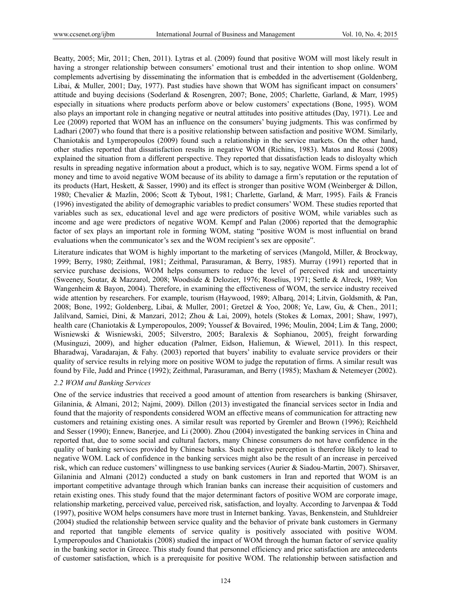Beatty, 2005; Mir, 2011; Chen, 2011). Lytras et al. (2009) found that positive WOM will most likely result in having a stronger relationship between consumers' emotional trust and their intention to shop online. WOM complements advertising by disseminating the information that is embedded in the advertisement (Goldenberg, Libai, & Muller, 2001; Day, 1977). Past studies have shown that WOM has significant impact on consumers' attitude and buying decisions (Soderland & Rosengren, 2007; Bone, 2005; Charlette, Garland, & Marr, 1995) especially in situations where products perform above or below customers' expectations (Bone, 1995). WOM also plays an important role in changing negative or neutral attitudes into positive attitudes (Day, 1971). Lee and Lee (2009) reported that WOM has an influence on the consumers' buying judgments. This was confirmed by Ladhari (2007) who found that there is a positive relationship between satisfaction and positive WOM. Similarly, Chaniotakis and Lymperopoulos (2009) found such a relationship in the service markets. On the other hand, other studies reported that dissatisfaction results in negative WOM (Richins, 1983). Matos and Rossi (2008) explained the situation from a different perspective. They reported that dissatisfaction leads to disloyalty which results in spreading negative information about a product, which is to say, negative WOM. Firms spend a lot of money and time to avoid negative WOM because of its ability to damage a firm's reputation or the reputation of its products (Hart, Heskett, & Sasser, 1990) and its effect is stronger than positive WOM (Weinberger & Dillon, 1980; Chevalier & Mazlin, 2006; Scott & Tybout, 1981; Charlette, Garland, & Marr, 1995). Fails & Francis (1996) investigated the ability of demographic variables to predict consumers' WOM. These studies reported that variables such as sex, educational level and age were predictors of positive WOM, while variables such as income and age were predictors of negative WOM. Kempf and Palan (2006) reported that the demographic factor of sex plays an important role in forming WOM, stating "positive WOM is most influential on brand evaluations when the communicator's sex and the WOM recipient's sex are opposite".

Literature indicates that WOM is highly important to the marketing of services (Mangold, Miller, & Brockway, 1999; Berry, 1980; Zeithmal, 1981; Zeithmal, Parasuraman, & Berry, 1985). Murray (1991) reported that in service purchase decisions, WOM helps consumers to reduce the level of perceived risk and uncertainty (Sweeney, Soutar, & Mazzarol, 2008; Woodside & Delozier, 1976; Roselius, 1971; Settle & Alreck, 1989; Von Wangenheim & Bayon, 2004). Therefore, in examining the effectiveness of WOM, the service industry received wide attention by researchers. For example, tourism (Haywood, 1989; Albarq, 2014; Litvin, Goldsmith, & Pan, 2008; Bone, 1992; Goldenberg, Libai, & Muller, 2001; Gretzel & Yoo, 2008; Ye, Law, Gu, & Chen., 2011; Jalilvand, Samiei, Dini, & Manzari, 2012; Zhou & Lai, 2009), hotels (Stokes & Lomax, 2001; Shaw, 1997), health care (Chaniotakis & Lymperopoulos, 2009; Youssef & Bovaired, 1996; Moulin, 2004; Lim & Tang, 2000; Wisniewski & Wisniewski, 2005; Silverstro, 2005; Baralexis & Sophianou, 2005), freight forwarding (Musinguzi, 2009), and higher education (Palmer, Eidson, Haliemun, & Wiewel, 2011). In this respect, Bharadwaj, Varadarajan, & Fahy. (2003) reported that buyers' inability to evaluate service providers or their quality of service results in relying more on positive WOM to judge the reputation of firms. A similar result was found by File, Judd and Prince (1992); Zeithmal, Parasuraman, and Berry (1985); Maxham & Netemeyer (2002).

#### *2.2 WOM and Banking Services*

One of the service industries that received a good amount of attention from researchers is banking (Shirsaver, Gilaninia, & Almani, 2012; Najmi, 2009). Dillon (2013) investigated the financial services sector in India and found that the majority of respondents considered WOM an effective means of communication for attracting new customers and retaining existing ones. A similar result was reported by Gremler and Brown (1996); Reichheld and Sesser (1990); Ennew, Banerjee, and Li (2000). Zhou (2004) investigated the banking services in China and reported that, due to some social and cultural factors, many Chinese consumers do not have confidence in the quality of banking services provided by Chinese banks. Such negative perception is therefore likely to lead to negative WOM. Lack of confidence in the banking services might also be the result of an increase in perceived risk, which can reduce customers' willingness to use banking services (Aurier & Siadou-Martin, 2007). Shirsaver, Gilaninia and Almani (2012) conducted a study on bank customers in Iran and reported that WOM is an important competitive advantage through which Iranian banks can increase their acquisition of customers and retain existing ones. This study found that the major determinant factors of positive WOM are corporate image, relationship marketing, perceived value, perceived risk, satisfaction, and loyalty. According to Jarvenpaa & Todd (1997), positive WOM helps consumers have more trust in Internet banking. Yavas, Benkenstein, and Stuhldreier (2004) studied the relationship between service quality and the behavior of private bank customers in Germany and reported that tangible elements of service quality is positively associated with positive WOM. Lymperopoulos and Chaniotakis (2008) studied the impact of WOM through the human factor of service quality in the banking sector in Greece. This study found that personnel efficiency and price satisfaction are antecedents of customer satisfaction, which is a prerequisite for positive WOM. The relationship between satisfaction and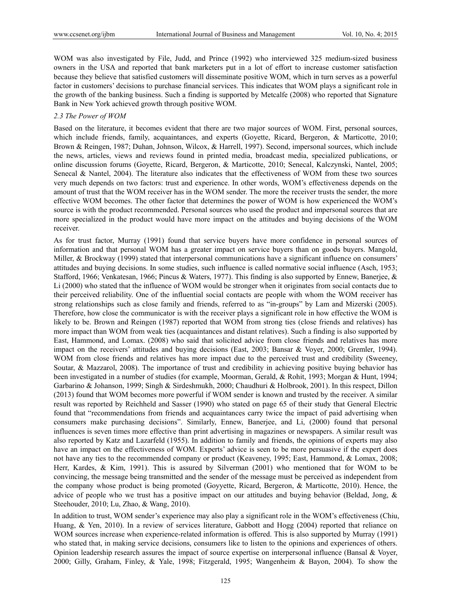WOM was also investigated by File, Judd, and Prince (1992) who interviewed 325 medium-sized business owners in the USA and reported that bank marketers put in a lot of effort to increase customer satisfaction because they believe that satisfied customers will disseminate positive WOM, which in turn serves as a powerful factor in customers' decisions to purchase financial services. This indicates that WOM plays a significant role in the growth of the banking business. Such a finding is supported by Metcalfe (2008) who reported that Signature Bank in New York achieved growth through positive WOM.

#### *2.3 The Power of WOM*

Based on the literature, it becomes evident that there are two major sources of WOM. First, personal sources, which include friends, family, acquaintances, and experts (Goyette, Ricard, Bergeron, & Marticotte, 2010; Brown & Reingen, 1987; Duhan, Johnson, Wilcox, & Harrell, 1997). Second, impersonal sources, which include the news, articles, views and reviews found in printed media, broadcast media, specialized publications, or online discussion forums (Goyette, Ricard, Bergeron, & Marticotte, 2010; Senecal, Kalczynski, Nantel, 2005; Senecal & Nantel, 2004). The literature also indicates that the effectiveness of WOM from these two sources very much depends on two factors: trust and experience. In other words, WOM's effectiveness depends on the amount of trust that the WOM receiver has in the WOM sender. The more the receiver trusts the sender, the more effective WOM becomes. The other factor that determines the power of WOM is how experienced the WOM's source is with the product recommended. Personal sources who used the product and impersonal sources that are more specialized in the product would have more impact on the attitudes and buying decisions of the WOM receiver.

As for trust factor, Murray (1991) found that service buyers have more confidence in personal sources of information and that personal WOM has a greater impact on service buyers than on goods buyers. Mangold, Miller, & Brockway (1999) stated that interpersonal communications have a significant influence on consumers' attitudes and buying decisions. In some studies, such influence is called normative social influence (Asch, 1953; Stafford, 1966; Venkatesan, 1966; Pincus & Waters, 1977). This finding is also supported by Ennew, Banerjee, & Li (2000) who stated that the influence of WOM would be stronger when it originates from social contacts due to their perceived reliability. One of the influential social contacts are people with whom the WOM receiver has strong relationships such as close family and friends, referred to as "in-groups" by Lam and Mizerski (2005). Therefore, how close the communicator is with the receiver plays a significant role in how effective the WOM is likely to be. Brown and Reingen (1987) reported that WOM from strong ties (close friends and relatives) has more impact than WOM from weak ties (acquaintances and distant relatives). Such a finding is also supported by East, Hammond, and Lomax. (2008) who said that solicited advice from close friends and relatives has more impact on the receivers' attitudes and buying decisions (East, 2003; Bansar & Voyer, 2000; Gremler, 1994). WOM from close friends and relatives has more impact due to the perceived trust and credibility (Sweeney, Soutar, & Mazzarol, 2008). The importance of trust and credibility in achieving positive buying behavior has been investigated in a number of studies (for example, Moorman, Gerald, & Rohit, 1993; Morgan & Hunt, 1994; Garbarino & Johanson, 1999; Singh & Sirdeshmukh, 2000; Chaudhuri & Holbrook, 2001). In this respect, Dillon (2013) found that WOM becomes more powerful if WOM sender is known and trusted by the receiver. A similar result was reported by Reichheld and Sasser (1990) who stated on page 65 of their study that General Electric found that "recommendations from friends and acquaintances carry twice the impact of paid advertising when consumers make purchasing decisions". Similarly, Ennew, Banerjee, and Li, (2000) found that personal influences is seven times more effective than print advertising in magazines or newspapers. A similar result was also reported by Katz and Lazarfeld (1955). In addition to family and friends, the opinions of experts may also have an impact on the effectiveness of WOM. Experts' advice is seen to be more persuasive if the expert does not have any ties to the recommended company or product (Keaveney, 1995; East, Hammond, & Lomax, 2008; Herr, Kardes, & Kim, 1991). This is assured by Silverman (2001) who mentioned that for WOM to be convincing, the message being transmitted and the sender of the message must be perceived as independent from the company whose product is being promoted (Goyyette, Ricard, Bergeron, & Marticotte, 2010). Hence, the advice of people who we trust has a positive impact on our attitudes and buying behavior (Beldad, Jong, & Steehouder, 2010; Lu, Zhao, & Wang, 2010).

In addition to trust, WOM sender's experience may also play a significant role in the WOM's effectiveness (Chiu, Huang, & Yen, 2010). In a review of services literature, Gabbott and Hogg (2004) reported that reliance on WOM sources increase when experience-related information is offered. This is also supported by Murray (1991) who stated that, in making service decisions, consumers like to listen to the opinions and experiences of others. Opinion leadership research assures the impact of source expertise on interpersonal influence (Bansal & Voyer, 2000; Gilly, Graham, Finley, & Yale, 1998; Fitzgerald, 1995; Wangenheim & Bayon, 2004). To show the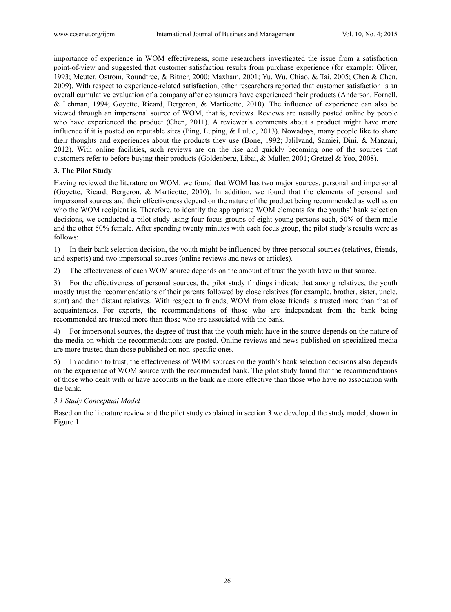importance of experience in WOM effectiveness, some researchers investigated the issue from a satisfaction point-of-view and suggested that customer satisfaction results from purchase experience (for example: Oliver, 1993; Meuter, Ostrom, Roundtree, & Bitner, 2000; Maxham, 2001; Yu, Wu, Chiao, & Tai, 2005; Chen & Chen, 2009). With respect to experience-related satisfaction, other researchers reported that customer satisfaction is an overall cumulative evaluation of a company after consumers have experienced their products (Anderson, Fornell, & Lehman, 1994; Goyette, Ricard, Bergeron, & Marticotte, 2010). The influence of experience can also be viewed through an impersonal source of WOM, that is, reviews. Reviews are usually posted online by people who have experienced the product (Chen, 2011). A reviewer's comments about a product might have more influence if it is posted on reputable sites (Ping, Luping, & Luluo, 2013). Nowadays, many people like to share their thoughts and experiences about the products they use (Bone, 1992; Jalilvand, Samiei, Dini, & Manzari, 2012). With online facilities, such reviews are on the rise and quickly becoming one of the sources that customers refer to before buying their products (Goldenberg, Libai, & Muller, 2001; Gretzel & Yoo, 2008).

#### **3. The Pilot Study**

Having reviewed the literature on WOM, we found that WOM has two major sources, personal and impersonal (Goyette, Ricard, Bergeron, & Marticotte, 2010). In addition, we found that the elements of personal and impersonal sources and their effectiveness depend on the nature of the product being recommended as well as on who the WOM recipient is. Therefore, to identify the appropriate WOM elements for the youths' bank selection decisions, we conducted a pilot study using four focus groups of eight young persons each, 50% of them male and the other 50% female. After spending twenty minutes with each focus group, the pilot study's results were as follows:

1) In their bank selection decision, the youth might be influenced by three personal sources (relatives, friends, and experts) and two impersonal sources (online reviews and news or articles).

2) The effectiveness of each WOM source depends on the amount of trust the youth have in that source.

3) For the effectiveness of personal sources, the pilot study findings indicate that among relatives, the youth mostly trust the recommendations of their parents followed by close relatives (for example, brother, sister, uncle, aunt) and then distant relatives. With respect to friends, WOM from close friends is trusted more than that of acquaintances. For experts, the recommendations of those who are independent from the bank being recommended are trusted more than those who are associated with the bank.

4) For impersonal sources, the degree of trust that the youth might have in the source depends on the nature of the media on which the recommendations are posted. Online reviews and news published on specialized media are more trusted than those published on non-specific ones.

5) In addition to trust, the effectiveness of WOM sources on the youth's bank selection decisions also depends on the experience of WOM source with the recommended bank. The pilot study found that the recommendations of those who dealt with or have accounts in the bank are more effective than those who have no association with the bank.

# *3.1 Study Conceptual Model*

Based on the literature review and the pilot study explained in section 3 we developed the study model, shown in Figure 1.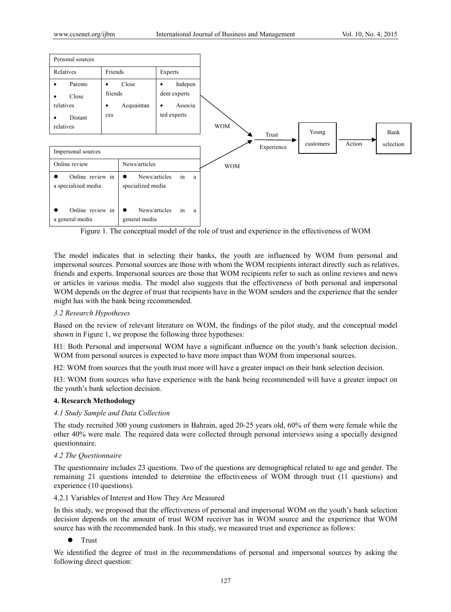

Figure 1. The conceptual model of the role of trust and experience in the effectiveness of WOM

The model indicates that in selecting their banks, the youth are influenced by WOM from personal and impersonal sources. Personal sources are those with whom the WOM recipients interact directly such as relatives, friends and experts. Impersonal sources are those that WOM recipients refer to such as online reviews and news or articles in various media. The model also suggests that the effectiveness of both personal and impersonal WOM depends on the degree of trust that recipients have in the WOM senders and the experience that the sender might has with the bank being recommended.

# *3.2 Research Hypotheses*

Based on the review of relevant literature on WOM, the findings of the pilot study, and the conceptual model shown in Figure 1, we propose the following three hypotheses:

H1: Both Personal and impersonal WOM have a significant influence on the youth's bank selection decision. WOM from personal sources is expected to have more impact than WOM from impersonal sources.

H2: WOM from sources that the youth trust more will have a greater impact on their bank selection decision.

H3: WOM from sources who have experience with the bank being recommended will have a greater impact on the youth's bank selection decision.

# **4. Research Methodology**

# *4.1 Study Sample and Data Collection*

The study recruited 300 young customers in Bahrain, aged 20-25 years old, 60% of them were female while the other 40% were male. The required data were collected through personal interviews using a specially designed questionnaire.

# *4.2 The Questionnaire*

The questionnaire includes 23 questions. Two of the questions are demographical related to age and gender. The remaining 21 questions intended to determine the effectiveness of WOM through trust (11 questions) and experience (10 questions).

4.2.1 Variables of Interest and How They Are Measured

In this study, we proposed that the effectiveness of personal and impersonal WOM on the youth's bank selection decision depends on the amount of trust WOM receiver has in WOM source and the experience that WOM source has with the recommended bank. In this study, we measured trust and experience as follows:

Trust

We identified the degree of trust in the recommendations of personal and impersonal sources by asking the following direct question: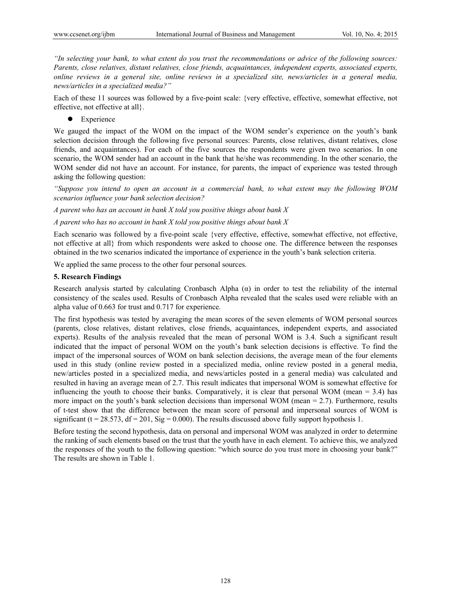*"In selecting your bank, to what extent do you trust the recommendations or advice of the following sources: Parents, close relatives, distant relatives, close friends, acquaintances, independent experts, associated experts, online reviews in a general site, online reviews in a specialized site, news/articles in a general media, news/articles in a specialized media?"*

Each of these 11 sources was followed by a five-point scale: {very effective, effective, somewhat effective, not effective, not effective at all}.

• Experience

We gauged the impact of the WOM on the impact of the WOM sender's experience on the youth's bank selection decision through the following five personal sources: Parents, close relatives, distant relatives, close friends, and acquaintances). For each of the five sources the respondents were given two scenarios. In one scenario, the WOM sender had an account in the bank that he/she was recommending. In the other scenario, the WOM sender did not have an account. For instance, for parents, the impact of experience was tested through asking the following question:

*"Suppose you intend to open an account in a commercial bank, to what extent may the following WOM scenarios influence your bank selection decision?* 

*A parent who has an account in bank X told you positive things about bank X* 

*A parent who has no account in bank X told you positive things about bank X* 

Each scenario was followed by a five-point scale {very effective, effective, somewhat effective, not effective, not effective at all} from which respondents were asked to choose one. The difference between the responses obtained in the two scenarios indicated the importance of experience in the youth's bank selection criteria.

We applied the same process to the other four personal sources.

#### **5. Research Findings**

Research analysis started by calculating Cronbasch Alpha  $(\alpha)$  in order to test the reliability of the internal consistency of the scales used. Results of Cronbasch Alpha revealed that the scales used were reliable with an alpha value of 0.663 for trust and 0.717 for experience.

The first hypothesis was tested by averaging the mean scores of the seven elements of WOM personal sources (parents, close relatives, distant relatives, close friends, acquaintances, independent experts, and associated experts). Results of the analysis revealed that the mean of personal WOM is 3.4. Such a significant result indicated that the impact of personal WOM on the youth's bank selection decisions is effective. To find the impact of the impersonal sources of WOM on bank selection decisions, the average mean of the four elements used in this study (online review posted in a specialized media, online review posted in a general media, new/articles posted in a specialized media, and news/articles posted in a general media) was calculated and resulted in having an average mean of 2.7. This result indicates that impersonal WOM is somewhat effective for influencing the youth to choose their banks. Comparatively, it is clear that personal WOM (mean = 3.4) has more impact on the youth's bank selection decisions than impersonal WOM (mean  $= 2.7$ ). Furthermore, results of t-test show that the difference between the mean score of personal and impersonal sources of WOM is significant (t = 28.573,  $df = 201$ , Sig = 0.000). The results discussed above fully support hypothesis 1.

Before testing the second hypothesis, data on personal and impersonal WOM was analyzed in order to determine the ranking of such elements based on the trust that the youth have in each element. To achieve this, we analyzed the responses of the youth to the following question: "which source do you trust more in choosing your bank?" The results are shown in Table 1.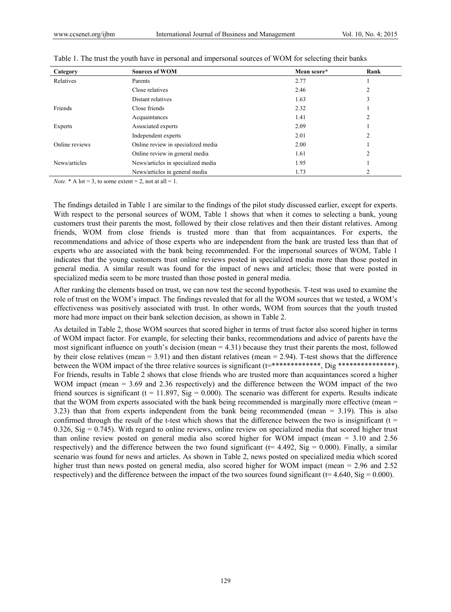| Category       | <b>Sources of WOM</b>              | Mean score* | Rank           |
|----------------|------------------------------------|-------------|----------------|
| Relatives      | Parents                            | 2.77        |                |
|                | Close relatives                    | 2.46        |                |
|                | Distant relatives                  | 1.63        | 3              |
| Friends        | Close friends                      | 2.32        |                |
|                | Acquaintances                      | 1.41        | 2              |
| Experts        | Associated experts                 | 2.09        |                |
|                | Independent experts                | 2.01        | $\overline{c}$ |
| Online reviews | Online review in specialized media | 2.00        |                |
|                | Online review in general media     | 1.61        | 2              |
| News/articles  | News/articles in specialized media | 1.95        |                |
|                | News/articles in general media     | 1.73        | C              |

| Table 1. The trust the youth have in personal and impersonal sources of WOM for selecting their banks |  |  |  |
|-------------------------------------------------------------------------------------------------------|--|--|--|
|                                                                                                       |  |  |  |

*Note.*  $*$  A lot = 3, to some extent = 2, not at all = 1.

The findings detailed in Table 1 are similar to the findings of the pilot study discussed earlier, except for experts. With respect to the personal sources of WOM, Table 1 shows that when it comes to selecting a bank, young customers trust their parents the most, followed by their close relatives and then their distant relatives. Among friends, WOM from close friends is trusted more than that from acquaintances. For experts, the recommendations and advice of those experts who are independent from the bank are trusted less than that of experts who are associated with the bank being recommended. For the impersonal sources of WOM, Table 1 indicates that the young customers trust online reviews posted in specialized media more than those posted in general media. A similar result was found for the impact of news and articles; those that were posted in specialized media seem to be more trusted than those posted in general media.

After ranking the elements based on trust, we can now test the second hypothesis. T-test was used to examine the role of trust on the WOM's impact. The findings revealed that for all the WOM sources that we tested, a WOM's effectiveness was positively associated with trust. In other words, WOM from sources that the youth trusted more had more impact on their bank selection decision, as shown in Table 2.

As detailed in Table 2, those WOM sources that scored higher in terms of trust factor also scored higher in terms of WOM impact factor. For example, for selecting their banks, recommendations and advice of parents have the most significant influence on youth's decision (mean  $= 4.31$ ) because they trust their parents the most, followed by their close relatives (mean  $= 3.91$ ) and then distant relatives (mean  $= 2.94$ ). T-test shows that the difference between the WOM impact of the three relative sources is significant ( $t=**********$ , Dig \*\*\*\*\*\*\*\*\*\*\*\*\*\*\*). For friends, results in Table 2 shows that close friends who are trusted more than acquaintances scored a higher WOM impact (mean = 3.69 and 2.36 respectively) and the difference between the WOM impact of the two friend sources is significant ( $t = 11.897$ , Sig = 0.000). The scenario was different for experts. Results indicate that the WOM from experts associated with the bank being recommended is marginally more effective (mean = 3.23) than that from experts independent from the bank being recommended (mean = 3.19). This is also confirmed through the result of the t-test which shows that the difference between the two is insignificant ( $t =$ 0.326,  $\text{Sig} = 0.745$ ). With regard to online reviews, online review on specialized media that scored higher trust than online review posted on general media also scored higher for WOM impact (mean = 3.10 and 2.56 respectively) and the difference between the two found significant ( $t= 4.492$ , Sig = 0.000). Finally, a similar scenario was found for news and articles. As shown in Table 2, news posted on specialized media which scored higher trust than news posted on general media, also scored higher for WOM impact (mean = 2.96 and 2.52) respectively) and the difference between the impact of the two sources found significant ( $t= 4.640$ , Sig = 0.000).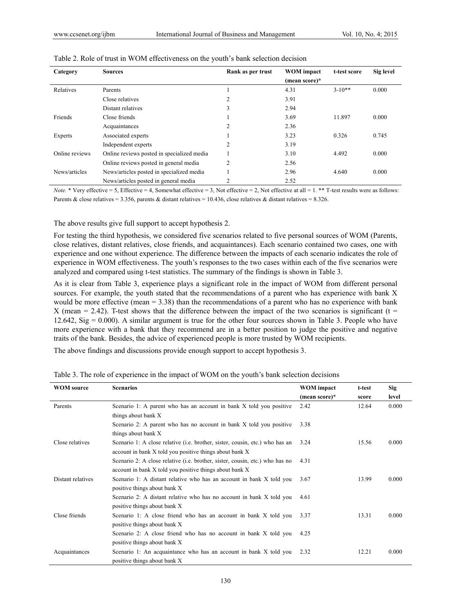| Category       | <b>Sources</b>                             | Rank as per trust | <b>WOM</b> impact | t-test score | Sig level |
|----------------|--------------------------------------------|-------------------|-------------------|--------------|-----------|
|                |                                            |                   | $(mean score)*$   |              |           |
| Relatives      | Parents                                    |                   | 4.31              | $3-10**$     | 0.000     |
|                | Close relatives                            | 2                 | 3.91              |              |           |
|                | Distant relatives                          | 3                 | 2.94              |              |           |
| Friends        | Close friends                              |                   | 3.69              | 11.897       | 0.000     |
|                | Acquaintances                              | 2                 | 2.36              |              |           |
| Experts        | Associated experts                         |                   | 3.23              | 0.326        | 0.745     |
|                | Independent experts                        | 2                 | 3.19              |              |           |
| Online reviews | Online reviews posted in specialized media |                   | 3.10              | 4.492        | 0.000     |
|                | Online reviews posted in general media     | 2                 | 2.56              |              |           |
| News/articles  | News/articles posted in specialized media  |                   | 2.96              | 4.640        | 0.000     |
|                | News/articles posted in general media      | 2                 | 2.52              |              |           |

#### Table 2. Role of trust in WOM effectiveness on the youth's bank selection decision

*Note.* \* Very effective = 5, Effective = 4, Somewhat effective = 3, Not effective = 2, Not effective at all = 1. \*\* T-test results were as follows: Parents & close relatives = 3.356, parents & distant relatives = 10.436, close relatives & distant relatives = 8.326.

The above results give full support to accept hypothesis 2.

For testing the third hypothesis, we considered five scenarios related to five personal sources of WOM (Parents, close relatives, distant relatives, close friends, and acquaintances). Each scenario contained two cases, one with experience and one without experience. The difference between the impacts of each scenario indicates the role of experience in WOM effectiveness. The youth's responses to the two cases within each of the five scenarios were analyzed and compared using t-test statistics. The summary of the findings is shown in Table 3.

As it is clear from Table 3, experience plays a significant role in the impact of WOM from different personal sources. For example, the youth stated that the recommendations of a parent who has experience with bank X would be more effective (mean = 3.38) than the recommendations of a parent who has no experience with bank X (mean = 2.42). T-test shows that the difference between the impact of the two scenarios is significant (t = 12.642, Sig = 0.000). A similar argument is true for the other four sources shown in Table 3. People who have more experience with a bank that they recommend are in a better position to judge the positive and negative traits of the bank. Besides, the advice of experienced people is more trusted by WOM recipients.

The above findings and discussions provide enough support to accept hypothesis 3.

| <b>WOM</b> source | <b>Scenarios</b>                                                             | <b>WOM</b> impact | t-test | Sig   |
|-------------------|------------------------------------------------------------------------------|-------------------|--------|-------|
|                   |                                                                              | (mean score)*     | score  | level |
| Parents           | Scenario 1: A parent who has an account in bank X told you positive          | 2.42              | 12.64  | 0.000 |
|                   | things about bank X                                                          |                   |        |       |
|                   | Scenario 2: A parent who has no account in bank X told you positive          | 3.38              |        |       |
|                   | things about bank X                                                          |                   |        |       |
| Close relatives   | Scenario 1: A close relative (i.e. brother, sister, cousin, etc.) who has an | 3.24              | 15.56  | 0.000 |
|                   | account in bank X told you positive things about bank X                      |                   |        |       |
|                   | Scenario 2: A close relative (i.e. brother, sister, cousin, etc.) who has no | 4.31              |        |       |
|                   | account in bank X told you positive things about bank X                      |                   |        |       |
| Distant relatives | Scenario 1: A distant relative who has an account in bank X told you         | 3.67              | 13.99  | 0.000 |
|                   | positive things about bank X                                                 |                   |        |       |
|                   | Scenario 2: A distant relative who has no account in bank X told you         | 4.61              |        |       |
|                   | positive things about bank X                                                 |                   |        |       |
| Close friends     | Scenario 1: A close friend who has an account in bank X told you             | 3.37              | 13.31  | 0.000 |
|                   | positive things about bank X                                                 |                   |        |       |
|                   | Scenario 2: A close friend who has no account in bank X told you             | 4.25              |        |       |
|                   | positive things about bank X                                                 |                   |        |       |
| Acquaintances     | Scenario 1: An acquaintance who has an account in bank X told you            | 2.32              | 12.21  | 0.000 |
|                   | positive things about bank X                                                 |                   |        |       |

Table 3. The role of experience in the impact of WOM on the youth's bank selection decisions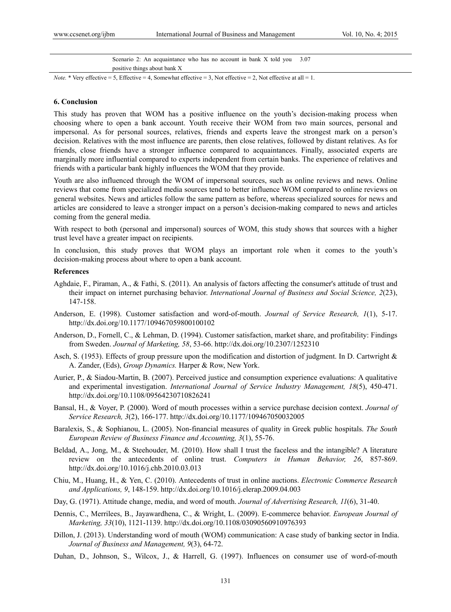| Scenario 2: An acquaintance who has no account in bank $X$ told you $3.07$ |  |
|----------------------------------------------------------------------------|--|
| positive things about bank X                                               |  |

*Note.* \* Very effective = 5, Effective = 4, Somewhat effective = 3, Not effective = 2, Not effective at all = 1.

#### **6. Conclusion**

This study has proven that WOM has a positive influence on the youth's decision-making process when choosing where to open a bank account. Youth receive their WOM from two main sources, personal and impersonal. As for personal sources, relatives, friends and experts leave the strongest mark on a person's decision. Relatives with the most influence are parents, then close relatives, followed by distant relatives. As for friends, close friends have a stronger influence compared to acquaintances. Finally, associated experts are marginally more influential compared to experts independent from certain banks. The experience of relatives and friends with a particular bank highly influences the WOM that they provide.

Youth are also influenced through the WOM of impersonal sources, such as online reviews and news. Online reviews that come from specialized media sources tend to better influence WOM compared to online reviews on general websites. News and articles follow the same pattern as before, whereas specialized sources for news and articles are considered to leave a stronger impact on a person's decision-making compared to news and articles coming from the general media.

With respect to both (personal and impersonal) sources of WOM, this study shows that sources with a higher trust level have a greater impact on recipients.

In conclusion, this study proves that WOM plays an important role when it comes to the youth's decision-making process about where to open a bank account.

#### **References**

- Aghdaie, F., Piraman, A., & Fathi, S. (2011). An analysis of factors affecting the consumer's attitude of trust and their impact on internet purchasing behavior. *International Journal of Business and Social Science, 2*(23), 147-158.
- Anderson, E. (1998). Customer satisfaction and word-of-mouth. *Journal of Service Research, 1*(1), 5-17. http://dx.doi.org/10.1177/109467059800100102
- Anderson, D., Fornell, C., & Lehman, D. (1994). Customer satisfaction, market share, and profitability: Findings from Sweden. *Journal of Marketing, 58*, 53-66. http://dx.doi.org/10.2307/1252310
- Asch, S. (1953). Effects of group pressure upon the modification and distortion of judgment. In D. Cartwright & A. Zander, (Eds), *Group Dynamics.* Harper & Row, New York.
- Aurier, P., & Siadou-Martin, B. (2007). Perceived justice and consumption experience evaluations: A qualitative and experimental investigation. *International Journal of Service Industry Management, 18*(5), 450-471. http://dx.doi.org/10.1108/09564230710826241
- Bansal, H., & Voyer, P. (2000). Word of mouth processes within a service purchase decision context. *Journal of Service Research, 3*(2), 166-177. http://dx.doi.org/10.1177/109467050032005
- Baralexis, S., & Sophianou, L. (2005). Non-financial measures of quality in Greek public hospitals. *The South European Review of Business Finance and Accounting, 3*(1), 55-76.
- Beldad, A., Jong, M., & Steehouder, M. (2010). How shall I trust the faceless and the intangible? A literature review on the antecedents of online trust. *Computers in Human Behavior, 26*, 857-869. http://dx.doi.org/10.1016/j.chb.2010.03.013
- Chiu, M., Huang, H., & Yen, C. (2010). Antecedents of trust in online auctions. *Electronic Commerce Research and Applications, 9*, 148-159. http://dx.doi.org/10.1016/j.elerap.2009.04.003
- Day, G. (1971). Attitude change, media, and word of mouth. *Journal of Advertising Research, 11*(6), 31-40.
- Dennis, C., Merrilees, B., Jayawardhena, C., & Wright, L. (2009). E-commerce behavior. *European Journal of Marketing, 33*(10), 1121-1139. http://dx.doi.org/10.1108/03090560910976393
- Dillon, J. (2013). Understanding word of mouth (WOM) communication: A case study of banking sector in India. *Journal of Business and Management, 9*(3), 64-72.
- Duhan, D., Johnson, S., Wilcox, J., & Harrell, G. (1997). Influences on consumer use of word-of-mouth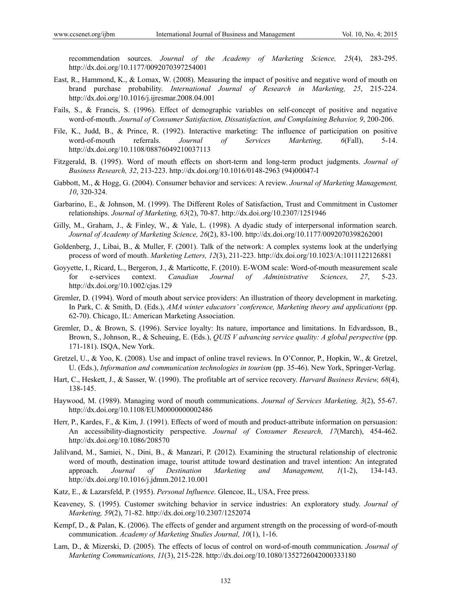recommendation sources. *Journal of the Academy of Marketing Science, 25*(4), 283-295. http://dx.doi.org/10.1177/0092070397254001

- East, R., Hammond, K., & Lomax, W. (2008). Measuring the impact of positive and negative word of mouth on brand purchase probability. *International Journal of Research in Marketing, 25*, 215-224. http://dx.doi.org/10.1016/j.ijresmar.2008.04.001
- Fails, S., & Francis, S. (1996). Effect of demographic variables on self-concept of positive and negative word-of-mouth. *Journal of Consumer Satisfaction, Dissatisfaction, and Complaining Behavior, 9*, 200-206.
- File, K., Judd, B., & Prince, R. (1992). Interactive marketing: The influence of participation on positive word-of-mouth referrals. *Journal of Services Marketing, 6*(Fall), 5-14. http://dx.doi.org/10.1108/08876049210037113
- Fitzgerald, B. (1995). Word of mouth effects on short-term and long-term product judgments. *Journal of Business Research, 32*, 213-223. http://dx.doi.org/10.1016/0148-2963 (94)00047-I
- Gabbott, M., & Hogg, G. (2004). Consumer behavior and services: A review. *Journal of Marketing Management, 10*, 320-324.
- Garbarino, E., & Johnson, M. (1999). The Different Roles of Satisfaction, Trust and Commitment in Customer relationships. *Journal of Marketing, 63*(2), 70-87. http://dx.doi.org/10.2307/1251946
- Gilly, M., Graham, J., & Finley, W., & Yale, L. (1998). A dyadic study of interpersonal information search. *Journal of Academy of Marketing Science, 26*(2), 83-100. http://dx.doi.org/10.1177/0092070398262001
- Goldenberg, J., Libai, B., & Muller, F. (2001). Talk of the network: A complex systems look at the underlying process of word of mouth. *Marketing Letters, 12*(3), 211-223. http://dx.doi.org/10.1023/A:1011122126881
- Goyyette, I., Ricard, L., Bergeron, J., & Marticotte, F. (2010). E-WOM scale: Word-of-mouth measurement scale for e-services context. *Canadian Journal of Administrative Sciences, 27*, 5-23. http://dx.doi.org/10.1002/cjas.129
- Gremler, D. (1994). Word of mouth about service providers: An illustration of theory development in marketing. In Park, C. & Smith, D. (Eds.), *AMA winter educators' conference, Marketing theory and applications* (pp. 62-70). Chicago, IL: American Marketing Association.
- Gremler, D., & Brown, S. (1996). Service loyalty: Its nature, importance and limitations. In Edvardsson, B., Brown, S., Johnson, R., & Scheuing, E. (Eds.), *QUIS V advancing service quality: A global perspective* (pp. 171-181). ISQA, New York.
- Gretzel, U., & Yoo, K. (2008). Use and impact of online travel reviews. In O'Connor, P., Hopkin, W., & Gretzel, U. (Eds.), *Information and communication technologies in tourism* (pp. 35-46). New York, Springer-Verlag.
- Hart, C., Heskett, J., & Sasser, W. (1990). The profitable art of service recovery. *Harvard Business Review, 68*(4), 138-145.
- Haywood, M. (1989). Managing word of mouth communications. *Journal of Services Marketing, 3*(2), 55-67. http://dx.doi.org/10.1108/EUM0000000002486
- Herr, P., Kardes, F., & Kim, J. (1991). Effects of word of mouth and product-attribute information on persuasion: An accessibility-diagnosticity perspective. *Journal of Consumer Research, 17*(March), 454-462. http://dx.doi.org/10.1086/208570
- Jalilvand, M., Samiei, N., Dini, B., & Manzari, P. (2012). Examining the structural relationship of electronic word of mouth, destination image, tourist attitude toward destination and travel intention: An integrated approach. *Journal of Destination Marketing and Management, 1*(1-2), 134-143. http://dx.doi.org/10.1016/j.jdmm.2012.10.001
- Katz, E., & Lazarsfeld, P. (1955). *Personal Influence*. Glencoe, IL, USA, Free press.
- Keaveney, S. (1995). Customer switching behavior in service industries: An exploratory study. *Journal of Marketing, 59*(2), 71-82. http://dx.doi.org/10.2307/1252074
- Kempf, D., & Palan, K. (2006). The effects of gender and argument strength on the processing of word-of-mouth communication. *Academy of Marketing Studies Journal, 10*(1), 1-16.
- Lam, D., & Mizerski, D. (2005). The effects of locus of control on word-of-mouth communication. *Journal of Marketing Communications, 11*(3), 215-228. http://dx.doi.org/10.1080/1352726042000333180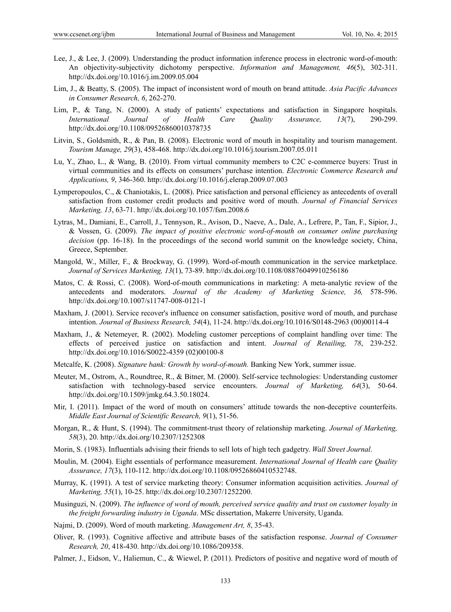- Lee, J., & Lee, J. (2009). Understanding the product information inference process in electronic word-of-mouth: An objectivity-subjectivity dichotomy perspective. *Information and Management, 46*(5), 302-311. http://dx.doi.org/10.1016/j.im.2009.05.004
- Lim, J., & Beatty, S. (2005). The impact of inconsistent word of mouth on brand attitude. *Asia Pacific Advances in Consumer Research, 6*, 262-270.
- Lim, P., & Tang, N. (2000). A study of patients' expectations and satisfaction in Singapore hospitals. *International Journal of Health Care Quality Assurance, 13*(7), 290-299. http://dx.doi.org/10.1108/09526860010378735
- Litvin, S., Goldsmith, R., & Pan, B. (2008). Electronic word of mouth in hospitality and tourism management. *Tourism Manage, 29*(3), 458-468. http://dx.doi.org/10.1016/j.tourism.2007.05.011
- Lu, Y., Zhao, L., & Wang, B. (2010). From virtual community members to C2C e-commerce buyers: Trust in virtual communities and its effects on consumers' purchase intention. *Electronic Commerce Research and Applications, 9*, 346-360. http://dx.doi.org/10.1016/j.elerap.2009.07.003
- Lymperopoulos, C., & Chaniotakis, L. (2008). Price satisfaction and personal efficiency as antecedents of overall satisfaction from customer credit products and positive word of mouth. *Journal of Financial Services Marketing, 13*, 63-71. http://dx.doi.org/10.1057/fsm.2008.6
- Lytras, M., Damiani, E., Carroll, J., Tennyson, R., Avison, D., Naeve, A., Dale, A., Lefrere, P., Tan, F., Sipior, J., & Vossen, G. (2009). *The impact of positive electronic word-of-mouth on consumer online purchasing decision* (pp. 16-18). In the proceedings of the second world summit on the knowledge society, China, Greece, September.
- Mangold, W., Miller, F., & Brockway, G. (1999). Word-of-mouth communication in the service marketplace. *Journal of Services Marketing, 13*(1), 73-89. http://dx.doi.org/10.1108/08876049910256186
- Matos, C. & Rossi, C. (2008). Word-of-mouth communications in marketing: A meta-analytic review of the antecedents and moderators. *Journal of the Academy of Marketing Science, 36,* 578-596. http://dx.doi.org/10.1007/s11747-008-0121-1
- Maxham, J. (2001). Service recover's influence on consumer satisfaction, positive word of mouth, and purchase intention. *Journal of Business Research, 54*(4), 11-24. http://dx.doi.org/10.1016/S0148-2963 (00)00114-4
- Maxham, J., & Netemeyer, R. (2002). Modeling customer perceptions of complaint handling over time: The effects of perceived justice on satisfaction and intent. *Journal of Retailing, 78*, 239-252. http://dx.doi.org/10.1016/S0022-4359 (02)00100-8
- Metcalfe, K. (2008). *Signature bank: Growth by word-of-mouth.* Banking New York, summer issue.
- Meuter, M., Ostrom, A., Roundtree, R., & Bitner, M. (2000). Self-service technologies: Understanding customer satisfaction with technology-based service encounters. *Journal of Marketing, 64*(3), 50-64. http://dx.doi.org/10.1509/jmkg.64.3.50.18024.
- Mir, I. (2011). Impact of the word of mouth on consumers' attitude towards the non-deceptive counterfeits. *Middle East Journal of Scientific Research, 9*(1), 51-56.
- Morgan, R., & Hunt, S. (1994). The commitment-trust theory of relationship marketing. *Journal of Marketing, 58*(3), 20. http://dx.doi.org/10.2307/1252308
- Morin, S. (1983). Influentials advising their friends to sell lots of high tech gadgetry. *Wall Street Journal*.
- Moulin, M. (2004). Eight essentials of performance measurement. *International Journal of Health care Quality Assurance, 17*(3), 110-112. http://dx.doi.org/10.1108/09526860410532748.
- Murray, K. (1991). A test of service marketing theory: Consumer information acquisition activities. *Journal of Marketing, 55*(1), 10-25. http://dx.doi.org/10.2307/1252200.
- Musinguzi, N. (2009). *The influence of word of mouth, perceived service quality and trust on customer loyalty in the freight forwarding industry in Uganda*. MSc dissertation, Makerre University, Uganda.
- Najmi, D. (2009). Word of mouth marketing. *Management Art, 8*, 35-43.
- Oliver, R. (1993). Cognitive affective and attribute bases of the satisfaction response. *Journal of Consumer Research, 20*, 418-430. http://dx.doi.org/10.1086/209358.
- Palmer, J., Eidson, V., Haliemun, C., & Wiewel, P. (2011). Predictors of positive and negative word of mouth of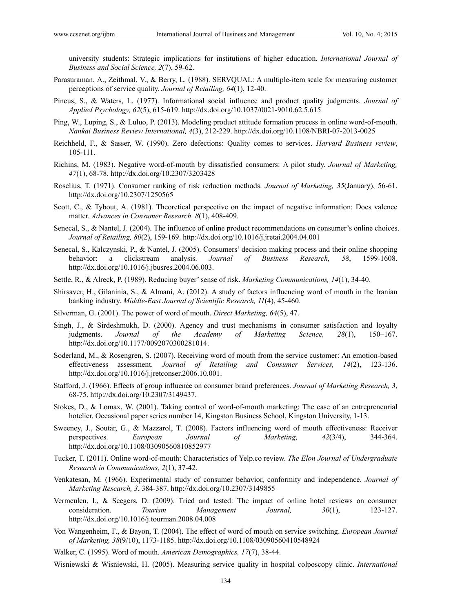university students: Strategic implications for institutions of higher education. *International Journal of Business and Social Science, 2*(7), 59-62.

- Parasuraman, A., Zeithmal, V., & Berry, L. (1988). SERVQUAL: A multiple-item scale for measuring customer perceptions of service quality. *Journal of Retailing, 64*(1), 12-40.
- Pincus, S., & Waters, L. (1977). Informational social influence and product quality judgments. *Journal of Applied Psychology, 62*(5), 615-619. http://dx.doi.org/10.1037/0021-9010.62.5.615
- Ping, W., Luping, S., & Luluo, P. (2013). Modeling product attitude formation process in online word-of-mouth. *Nankai Business Review International, 4*(3), 212-229. http://dx.doi.org/10.1108/NBRI-07-2013-0025
- Reichheld, F., & Sasser, W. (1990). Zero defections: Quality comes to services. *Harvard Business review*, 105-111.
- Richins, M. (1983). Negative word-of-mouth by dissatisfied consumers: A pilot study. *Journal of Marketing, 47*(1), 68-78. http://dx.doi.org/10.2307/3203428
- Roselius, T. (1971). Consumer ranking of risk reduction methods. *Journal of Marketing, 35*(January), 56-61. http://dx.doi.org/10.2307/1250565
- Scott, C., & Tybout, A. (1981). Theoretical perspective on the impact of negative information: Does valence matter. *Advances in Consumer Research, 8*(1), 408-409.
- Senecal, S., & Nantel, J. (2004). The influence of online product recommendations on consumer's online choices. *Journal of Retailing, 80*(2), 159-169. http://dx.doi.org/10.1016/j.jretai.2004.04.001
- Senecal, S., Kalczynski, P., & Nantel, J. (2005). Consumers' decision making process and their online shopping behavior: a clickstream analysis. *Journal of Business Research, 58*, 1599-1608. http://dx.doi.org/10.1016/j.jbusres.2004.06.003.
- Settle, R., & Alreck, P. (1989). Reducing buyer' sense of risk. *Marketing Communications, 14*(1), 34-40.
- Shirsaver, H., Gilaninia, S., & Almani, A. (2012). A study of factors influencing word of mouth in the Iranian banking industry. *Middle-East Journal of Scientific Research, 11*(4), 45-460.
- Silverman, G. (2001). The power of word of mouth. *Direct Marketing, 64*(5), 47.
- Singh, J., & Sirdeshmukh, D. (2000). Agency and trust mechanisms in consumer satisfaction and loyalty judgments. *Journal of the Academy of Marketing Science, 28*(1), 150–167. http://dx.doi.org/10.1177/0092070300281014.
- Soderland, M., & Rosengren, S. (2007). Receiving word of mouth from the service customer: An emotion-based effectiveness assessment. *Journal of Retailing and Consumer Services, 14*(2), 123-136. http://dx.doi.org/10.1016/j.jretconser.2006.10.001.
- Stafford, J. (1966). Effects of group influence on consumer brand preferences. *Journal of Marketing Research, 3*, 68-75. http://dx.doi.org/10.2307/3149437.
- Stokes, D., & Lomax, W. (2001). Taking control of word-of-mouth marketing: The case of an entrepreneurial hotelier. Occasional paper series number 14, Kingston Business School, Kingston University, 1-13.
- Sweeney, J., Soutar, G., & Mazzarol, T. (2008). Factors influencing word of mouth effectiveness: Receiver perspectives. *European Journal of Marketing, 42*(3/4), 344-364. http://dx.doi.org/10.1108/03090560810852977
- Tucker, T. (2011). Online word-of-mouth: Characteristics of Yelp.co review. *The Elon Journal of Undergraduate Research in Communications, 2*(1), 37-42.
- Venkatesan, M. (1966). Experimental study of consumer behavior, conformity and independence. *Journal of Marketing Research, 3*, 384-387. http://dx.doi.org/10.2307/3149855
- Vermeulen, I., & Seegers, D. (2009). Tried and tested: The impact of online hotel reviews on consumer consideration. *Tourism Management Journal, 30*(1), 123-127. http://dx.doi.org/10.1016/j.tourman.2008.04.008
- Von Wangenheim, F., & Bayon, T. (2004). The effect of word of mouth on service switching. *European Journal of Marketing, 38*(9/10), 1173-1185. http://dx.doi.org/10.1108/03090560410548924
- Walker, C. (1995). Word of mouth. *American Demographics, 17*(7), 38-44.
- Wisniewski & Wisniewski, H. (2005). Measuring service quality in hospital colposcopy clinic. *International*